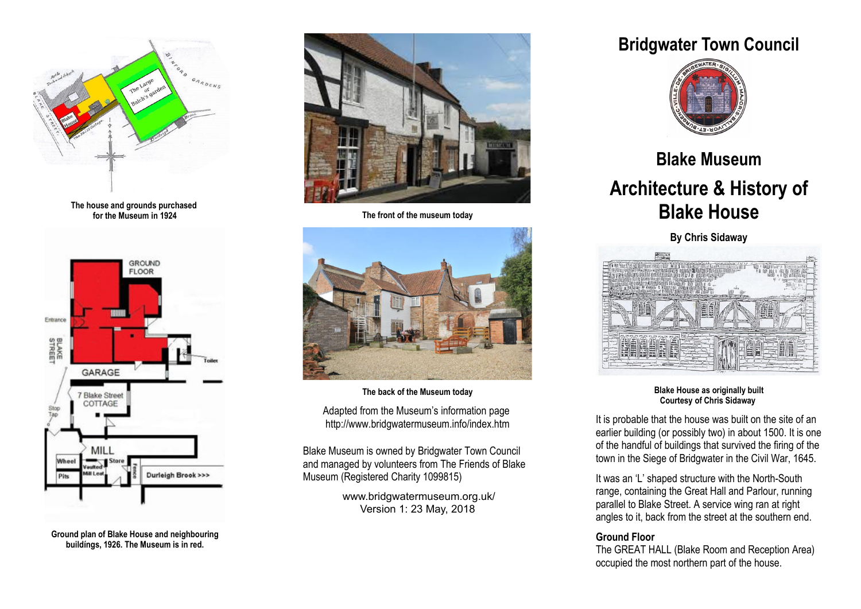

**The house and grounds purchased for the Museum in 1924**



**Ground plan of Blake House and neighbouring buildíngs, 1926. The Museum is in red.**



**The front of the museum today**



**The back of the Museum today** Adapted from the Museum's information page http://www.bridgwatermuseum.info/index.htm

Blake Museum is owned by Bridgwater Town Council and managed by volunteers from The Friends of Blake Museum (Registered Charity 1099815)

> www.bridgwatermuseum.org.uk/ Version 1: 23 May, 2018

# **Bridgwater Town Council**



# **Blake Museum Architecture & History of Blake House**

**By Chris Sidaway**



**Blake House as originally built Courtesy of Chris Sidaway** 

It is probable that the house was built on the site of an earlier building (or possibly two) in about 1500. It is one of the handful of buildings that survived the firing of the town in the Siege of Bridgwater in the Civil War, 1645.

It was an 'L' shaped structure with the North-South range, containing the Great Hall and Parlour, running parallel to Blake Street. A service wing ran at right angles to it, back from the street at the southern end.

#### **Ground Floor**

The GREAT HALL (Blake Room and Reception Area) occupied the most northern part of the house.